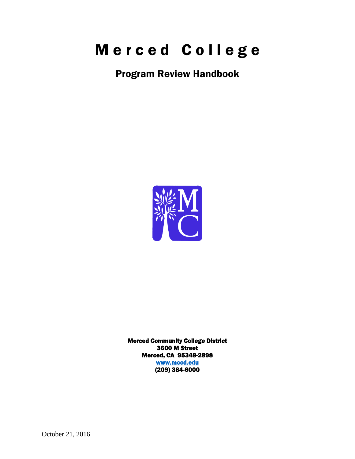# Merced College

Program Review Handbook



Merced Community College District 3600 M Street Merced, CA 95348-2898 [www.mccd.edu](http://www.mccd.edu/)  (209) 384-6000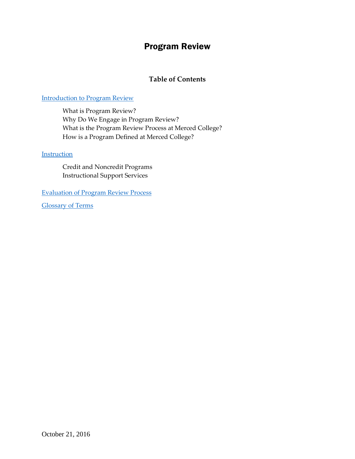## Program Review

## **Table of Contents**

#### [Introduction to Program Review](#page-2-0)

What is Program Review? Why Do We Engage in Program Review? What is the Program Review Process at Merced College? How is a Program Defined at Merced College?

#### **[Instruction](#page-7-0)**

Credit and Noncredit Programs Instructional Support Services

[Evaluation of Program Review Process](#page-17-0)

Glossary of Terms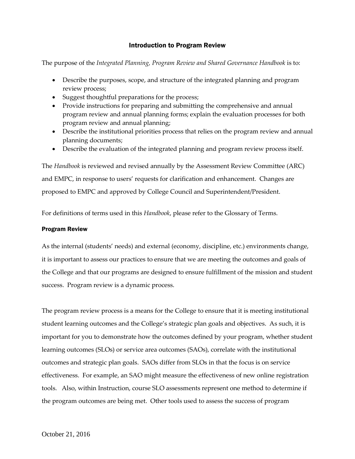#### Introduction to Program Review

<span id="page-2-0"></span>The purpose of the *Integrated Planning, Program Review and Shared Governance Handbook* is to:

- Describe the purposes, scope, and structure of the integrated planning and program review process;
- Suggest thoughtful preparations for the process;
- Provide instructions for preparing and submitting the comprehensive and annual program review and annual planning forms; explain the evaluation processes for both program review and annual planning;
- Describe the institutional priorities process that relies on the program review and annual planning documents;
- Describe the evaluation of the integrated planning and program review process itself.

The *Handbook* is reviewed and revised annually by the Assessment Review Committee (ARC) and EMPC, in response to users' requests for clarification and enhancement. Changes are proposed to EMPC and approved by College Council and Superintendent/President.

For definitions of terms used in this *Handbook*, please refer to the Glossary of Terms.

#### Program Review

As the internal (students' needs) and external (economy, discipline, etc.) environments change, it is important to assess our practices to ensure that we are meeting the outcomes and goals of the College and that our programs are designed to ensure fulfillment of the mission and student success. Program review is a dynamic process.

The program review process is a means for the College to ensure that it is meeting institutional student learning outcomes and the College's strategic plan goals and objectives. As such, it is important for you to demonstrate how the outcomes defined by your program, whether student learning outcomes (SLOs) or service area outcomes (SAOs), correlate with the institutional outcomes and strategic plan goals. SAOs differ from SLOs in that the focus is on service effectiveness. For example, an SAO might measure the effectiveness of new online registration tools. Also, within Instruction, course SLO assessments represent one method to determine if the program outcomes are being met. Other tools used to assess the success of program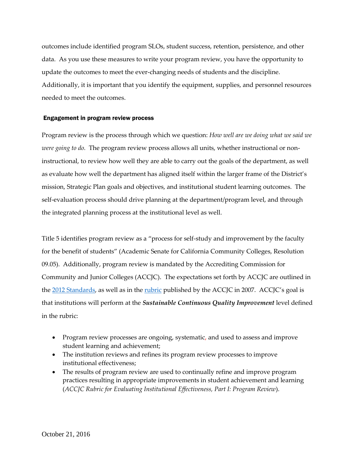outcomes include identified program SLOs, student success, retention, persistence, and other data. As you use these measures to write your program review, you have the opportunity to update the outcomes to meet the ever-changing needs of students and the discipline. Additionally, it is important that you identify the equipment, supplies, and personnel resources needed to meet the outcomes.

#### Engagement in program review process

Program review is the process through which we question: *How well are we doing what we said we were going to do.* The program review process allows all units, whether instructional or noninstructional, to review how well they are able to carry out the goals of the department, as well as evaluate how well the department has aligned itself within the larger frame of the District's mission, Strategic Plan goals and objectives, and institutional student learning outcomes. The self-evaluation process should drive planning at the department/program level, and through the integrated planning process at the institutional level as well.

Title 5 identifies program review as a "process for self-study and improvement by the faculty for the benefit of students" (Academic Senate for California Community Colleges, Resolution 09.05). Additionally, program review is mandated by the Accrediting Commission for Community and Junior Colleges (ACCJC). The expectations set forth by ACCJC are outlined in the [2012 Standards,](http://www.accjc.org/wp-content/uploads/2012/08/Accreditation-Standards_Revised-June-2012.pdf) as well as in the [rubric](http://www.accjc.org/wp-content/uploads/2011/10/CoverMemoAndRevisedRubric_10-28-2011.pdf) published by the ACCJC in 2007. ACCJC's goal is that institutions will perform at the *Sustainable Continuous Quality Improvement* level defined in the rubric:

- Program review processes are ongoing, systematic, and used to assess and improve student learning and achievement;
- The institution reviews and refines its program review processes to improve institutional effectiveness;
- The results of program review are used to continually refine and improve program practices resulting in appropriate improvements in student achievement and learning (*ACCJC Rubric for Evaluating Institutional Effectiveness, Part I: Program Review*).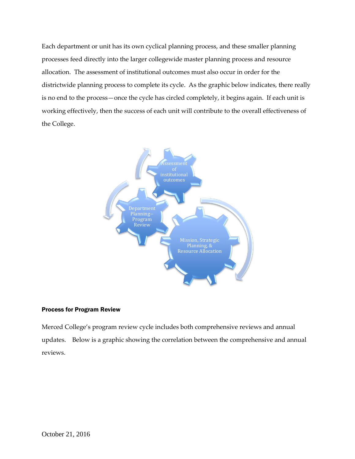Each department or unit has its own cyclical planning process, and these smaller planning processes feed directly into the larger collegewide master planning process and resource allocation. The assessment of institutional outcomes must also occur in order for the districtwide planning process to complete its cycle. As the graphic below indicates, there really is no end to the process—once the cycle has circled completely, it begins again. If each unit is working effectively, then the success of each unit will contribute to the overall effectiveness of the College.



#### Process for Program Review

Merced College's program review cycle includes both comprehensive reviews and annual updates. Below is a graphic showing the correlation between the comprehensive and annual reviews.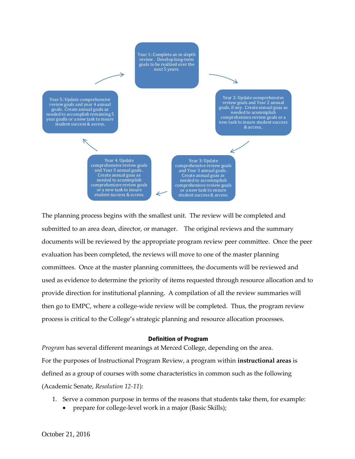

The planning process begins with the smallest unit. The review will be completed and submitted to an area dean, director, or manager. The original reviews and the summary documents will be reviewed by the appropriate program review peer committee. Once the peer evaluation has been completed, the reviews will move to one of the master planning committees. Once at the master planning committees, the documents will be reviewed and used as evidence to determine the priority of items requested through resource allocation and to provide direction for institutional planning. A compilation of all the review summaries will then go to EMPC, where a college-wide review will be completed. Thus, the program review process is critical to the College's strategic planning and resource allocation processes.

#### Definition of Program

*Program* has several different meanings at Merced College, depending on the area. For the purposes of Instructional Program Review, a program within **instructional areas** is defined as a group of courses with some characteristics in common such as the following (Academic Senate, *Resolution 12-11*):

- 1. Serve a common purpose in terms of the reasons that students take them, for example:
	- prepare for college-level work in a major (Basic Skills);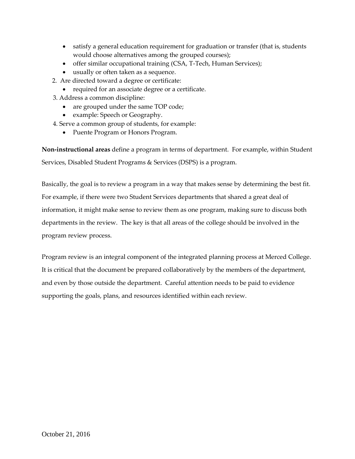- satisfy a general education requirement for graduation or transfer (that is, students would choose alternatives among the grouped courses);
- offer similar occupational training (CSA, T-Tech, Human Services);
- usually or often taken as a sequence.
- 2. Are directed toward a degree or certificate:
	- required for an associate degree or a certificate.
- 3. Address a common discipline:
	- are grouped under the same TOP code;
	- example: Speech or Geography.
- 4. Serve a common group of students, for example:
	- Puente Program or Honors Program.

**Non-instructional areas** define a program in terms of department. For example, within Student Services, Disabled Student Programs & Services (DSPS) is a program.

Basically, the goal is to review a program in a way that makes sense by determining the best fit. For example, if there were two Student Services departments that shared a great deal of information, it might make sense to review them as one program, making sure to discuss both departments in the review. The key is that all areas of the college should be involved in the program review process.

Program review is an integral component of the integrated planning process at Merced College. It is critical that the document be prepared collaboratively by the members of the department, and even by those outside the department. Careful attention needs to be paid to evidence supporting the goals, plans, and resources identified within each review.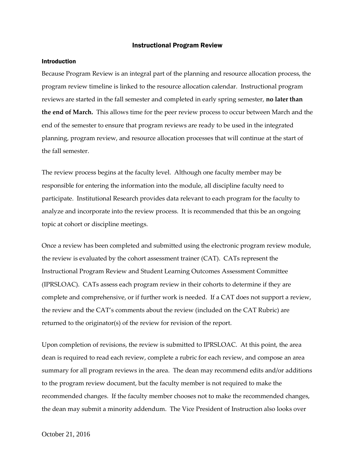#### Instructional Program Review

#### <span id="page-7-0"></span>Introduction

Because Program Review is an integral part of the planning and resource allocation process, the program review timeline is linked to the resource allocation calendar. Instructional program reviews are started in the fall semester and completed in early spring semester, **no later than the end of March.** This allows time for the peer review process to occur between March and the end of the semester to ensure that program reviews are ready to be used in the integrated planning, program review, and resource allocation processes that will continue at the start of the fall semester.

The review process begins at the faculty level. Although one faculty member may be responsible for entering the information into the module, all discipline faculty need to participate. Institutional Research provides data relevant to each program for the faculty to analyze and incorporate into the review process. It is recommended that this be an ongoing topic at cohort or discipline meetings.

Once a review has been completed and submitted using the electronic program review module, the review is evaluated by the cohort assessment trainer (CAT). CATs represent the Instructional Program Review and Student Learning Outcomes Assessment Committee (IPRSLOAC). CATs assess each program review in their cohorts to determine if they are complete and comprehensive, or if further work is needed. If a CAT does not support a review, the review and the CAT's comments about the review (included on the CAT Rubric) are returned to the originator(s) of the review for revision of the report.

Upon completion of revisions, the review is submitted to IPRSLOAC. At this point, the area dean is required to read each review, complete a rubric for each review, and compose an area summary for all program reviews in the area. The dean may recommend edits and/or additions to the program review document, but the faculty member is not required to make the recommended changes. If the faculty member chooses not to make the recommended changes, the dean may submit a minority addendum. The Vice President of Instruction also looks over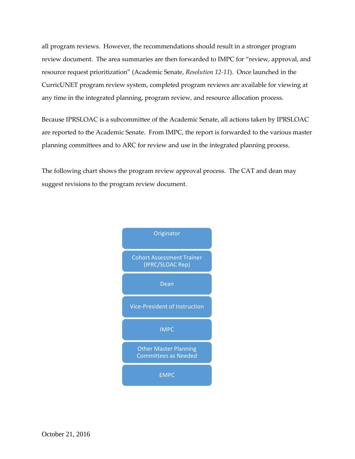all program reviews. However, the recommendations should result in a stronger program review document. The area summaries are then forwarded to IMPC for "review, approval, and resource request prioritization" (Academic Senate, *Resolution 12-11*). Once launched in the CurricUNET program review system, completed program reviews are available for viewing at any time in the integrated planning, program review, and resource allocation process.

Because IPRSLOAC is a subcommittee of the Academic Senate, all actions taken by IPRSLOAC are reported to the Academic Senate. From IMPC, the report is forwarded to the various master planning committees and to ARC for review and use in the integrated planning process.

The following chart shows the program review approval process. The CAT and dean may suggest revisions to the program review document.

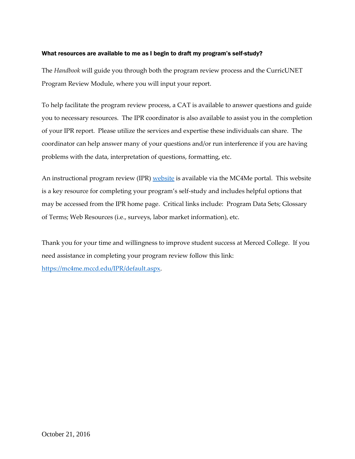#### What resources are available to me as I begin to draft my program's self-study?

The *Handbook* will guide you through both the program review process and the CurricUNET Program Review Module, where you will input your report.

To help facilitate the program review process, a CAT is available to answer questions and guide you to necessary resources. The IPR coordinator is also available to assist you in the completion of your IPR report. Please utilize the services and expertise these individuals can share. The coordinator can help answer many of your questions and/or run interference if you are having problems with the data, interpretation of questions, formatting, etc.

An instructional program review (IPR) [website](https://mc4me.mccd.edu/IPR/default.aspx) is available via the MC4Me portal. This website is a key resource for completing your program's self-study and includes helpful options that may be accessed from the IPR home page. Critical links include: Program Data Sets; Glossary of Terms; Web Resources (i.e., surveys, labor market information), etc.

Thank you for your time and willingness to improve student success at Merced College. If you need assistance in completing your program review follow this link: [https://mc4me.mccd.edu/IPR/default.aspx.](https://mc4me.mccd.edu/IPR/default.aspx)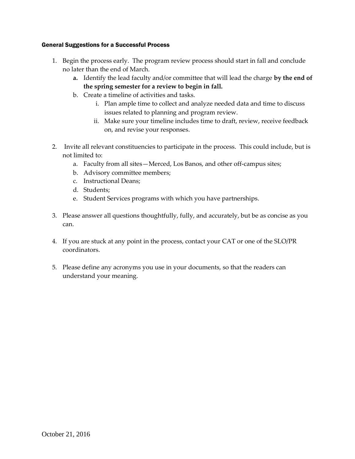#### General Suggestions for a Successful Process

- 1. Begin the process early. The program review process should start in fall and conclude no later than the end of March.
	- **a.** Identify the lead faculty and/or committee that will lead the charge **by the end of the spring semester for a review to begin in fall.**
	- b. Create a timeline of activities and tasks.
		- i. Plan ample time to collect and analyze needed data and time to discuss issues related to planning and program review.
		- ii. Make sure your timeline includes time to draft, review, receive feedback on, and revise your responses.
- 2. Invite all relevant constituencies to participate in the process. This could include, but is not limited to:
	- a. Faculty from all sites—Merced, Los Banos, and other off-campus sites;
	- b. Advisory committee members;
	- c. Instructional Deans;
	- d. Students;
	- e. Student Services programs with which you have partnerships.
- 3. Please answer all questions thoughtfully, fully, and accurately, but be as concise as you can.
- 4. If you are stuck at any point in the process, contact your CAT or one of the SLO/PR coordinators.
- 5. Please define any acronyms you use in your documents, so that the readers can understand your meaning.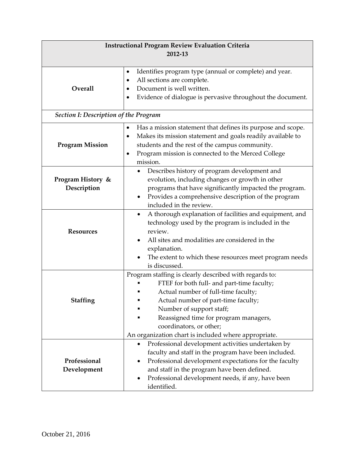| <b>Instructional Program Review Evaluation Criteria</b><br>2012-13 |                                                                                                                                                                                                                                                                                                                                            |  |  |  |  |  |
|--------------------------------------------------------------------|--------------------------------------------------------------------------------------------------------------------------------------------------------------------------------------------------------------------------------------------------------------------------------------------------------------------------------------------|--|--|--|--|--|
|                                                                    |                                                                                                                                                                                                                                                                                                                                            |  |  |  |  |  |
| Overall                                                            | Identifies program type (annual or complete) and year.<br>٠<br>All sections are complete.<br>٠<br>Document is well written.<br>Evidence of dialogue is pervasive throughout the document.                                                                                                                                                  |  |  |  |  |  |
| <b>Section I: Description of the Program</b>                       |                                                                                                                                                                                                                                                                                                                                            |  |  |  |  |  |
| <b>Program Mission</b>                                             | Has a mission statement that defines its purpose and scope.<br>$\bullet$<br>Makes its mission statement and goals readily available to<br>٠<br>students and the rest of the campus community.<br>Program mission is connected to the Merced College<br>٠<br>mission.                                                                       |  |  |  |  |  |
| Program History &<br>Description                                   | Describes history of program development and<br>$\bullet$<br>evolution, including changes or growth in other<br>programs that have significantly impacted the program.<br>Provides a comprehensive description of the program<br>٠<br>included in the review.                                                                              |  |  |  |  |  |
| <b>Resources</b>                                                   | A thorough explanation of facilities and equipment, and<br>٠<br>technology used by the program is included in the<br>review.<br>All sites and modalities are considered in the<br>explanation.<br>The extent to which these resources meet program needs<br>is discussed.                                                                  |  |  |  |  |  |
| <b>Staffing</b>                                                    | Program staffing is clearly described with regards to:<br>FTEF for both full- and part-time faculty;<br>Actual number of full-time faculty;<br>Actual number of part-time faculty;<br>Number of support staff;<br>Reassigned time for program managers,<br>coordinators, or other;<br>An organization chart is included where appropriate. |  |  |  |  |  |
| Professional<br>Development                                        | Professional development activities undertaken by<br>$\bullet$<br>faculty and staff in the program have been included.<br>Professional development expectations for the faculty<br>and staff in the program have been defined.<br>Professional development needs, if any, have been<br>identified.                                         |  |  |  |  |  |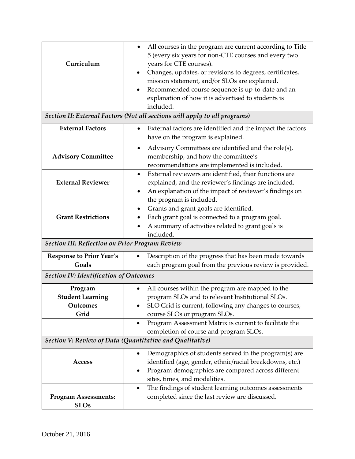| Curriculum                                             | All courses in the program are current according to Title<br>$\bullet$<br>5 (every six years for non-CTE courses and every two<br>years for CTE courses).<br>Changes, updates, or revisions to degrees, certificates,<br>mission statement, and/or SLOs are explained.<br>Recommended course sequence is up-to-date and an<br>explanation of how it is advertised to students is<br>included.<br>Section II: External Factors (Not all sections will apply to all programs) |  |  |  |  |
|--------------------------------------------------------|-----------------------------------------------------------------------------------------------------------------------------------------------------------------------------------------------------------------------------------------------------------------------------------------------------------------------------------------------------------------------------------------------------------------------------------------------------------------------------|--|--|--|--|
| <b>External Factors</b>                                | External factors are identified and the impact the factors<br>have on the program is explained.                                                                                                                                                                                                                                                                                                                                                                             |  |  |  |  |
| <b>Advisory Committee</b>                              | Advisory Committees are identified and the role(s),<br>$\bullet$<br>membership, and how the committee's<br>recommendations are implemented is included.<br>External reviewers are identified, their functions are<br>$\bullet$                                                                                                                                                                                                                                              |  |  |  |  |
| <b>External Reviewer</b>                               | explained, and the reviewer's findings are included.<br>An explanation of the impact of reviewer's findings on<br>the program is included.                                                                                                                                                                                                                                                                                                                                  |  |  |  |  |
| <b>Grant Restrictions</b>                              | Grants and grant goals are identified.<br>Each grant goal is connected to a program goal.<br>A summary of activities related to grant goals is<br>included.                                                                                                                                                                                                                                                                                                                 |  |  |  |  |
| <b>Section III: Reflection on Prior Program Review</b> |                                                                                                                                                                                                                                                                                                                                                                                                                                                                             |  |  |  |  |
| <b>Response to Prior Year's</b><br>Goals               | Description of the progress that has been made towards<br>each program goal from the previous review is provided.                                                                                                                                                                                                                                                                                                                                                           |  |  |  |  |
| <b>Section IV: Identification of Outcomes</b>          |                                                                                                                                                                                                                                                                                                                                                                                                                                                                             |  |  |  |  |
| Program<br><b>Student Learning</b><br>Outcomes<br>Grid | All courses within the program are mapped to the<br>program SLOs and to relevant Institutional SLOs.<br>SLO Grid is current, following any changes to courses,<br>course SLOs or program SLOs.                                                                                                                                                                                                                                                                              |  |  |  |  |
|                                                        | Program Assessment Matrix is current to facilitate the<br>$\bullet$<br>completion of course and program SLOs.                                                                                                                                                                                                                                                                                                                                                               |  |  |  |  |
|                                                        | Section V: Review of Data (Quantitative and Qualitative)                                                                                                                                                                                                                                                                                                                                                                                                                    |  |  |  |  |
| Access                                                 | Demographics of students served in the program(s) are<br>٠<br>identified (age, gender, ethnic/racial breakdowns, etc.)<br>Program demographics are compared across different<br>٠<br>sites, times, and modalities.                                                                                                                                                                                                                                                          |  |  |  |  |
| <b>Program Assessments:</b><br><b>SLOs</b>             | The findings of student learning outcomes assessments<br>$\bullet$<br>completed since the last review are discussed.                                                                                                                                                                                                                                                                                                                                                        |  |  |  |  |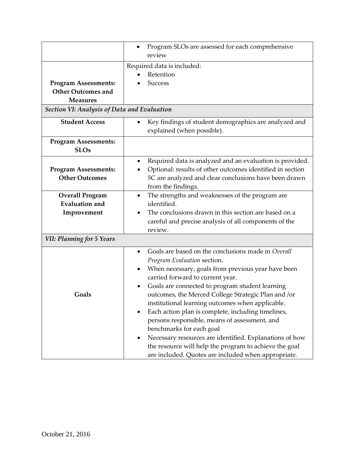|                                             | Program SLOs are assessed for each comprehensive                                                                      |  |  |  |  |  |
|---------------------------------------------|-----------------------------------------------------------------------------------------------------------------------|--|--|--|--|--|
|                                             | review                                                                                                                |  |  |  |  |  |
|                                             | Required data is included:                                                                                            |  |  |  |  |  |
|                                             | Retention                                                                                                             |  |  |  |  |  |
| <b>Program Assessments:</b>                 | <b>Success</b>                                                                                                        |  |  |  |  |  |
| <b>Other Outcomes and</b>                   |                                                                                                                       |  |  |  |  |  |
| <b>Measures</b>                             |                                                                                                                       |  |  |  |  |  |
| Section VI: Analysis of Data and Evaluation |                                                                                                                       |  |  |  |  |  |
| <b>Student Access</b>                       | Key findings of student demographics are analyzed and<br>$\bullet$<br>explained (when possible).                      |  |  |  |  |  |
| <b>Program Assessments:</b><br><b>SLOs</b>  |                                                                                                                       |  |  |  |  |  |
| <b>Program Assessments:</b>                 | Required data is analyzed and an evaluation is provided.<br>Optional: results of other outcomes identified in section |  |  |  |  |  |
| <b>Other Outcomes</b>                       | 5C are analyzed and clear conclusions have been drawn                                                                 |  |  |  |  |  |
|                                             | from the findings.                                                                                                    |  |  |  |  |  |
| <b>Overall Program</b>                      | The strengths and weaknesses of the program are<br>$\bullet$                                                          |  |  |  |  |  |
| <b>Evaluation and</b>                       | identified.                                                                                                           |  |  |  |  |  |
| Improvement                                 | The conclusions drawn in this section are based on a                                                                  |  |  |  |  |  |
|                                             | careful and precise analysis of all components of the                                                                 |  |  |  |  |  |
|                                             | review.                                                                                                               |  |  |  |  |  |
| <b>VII: Planning for 5 Years</b>            |                                                                                                                       |  |  |  |  |  |
|                                             | Goals are based on the conclusions made in Overall<br>$\bullet$                                                       |  |  |  |  |  |
|                                             | Program Evaluation section.                                                                                           |  |  |  |  |  |
|                                             | When necessary, goals from previous year have been                                                                    |  |  |  |  |  |
|                                             | carried forward to current year.                                                                                      |  |  |  |  |  |
|                                             | Goals are connected to program student learning                                                                       |  |  |  |  |  |
| Goals                                       | outcomes, the Merced College Strategic Plan and /or                                                                   |  |  |  |  |  |
|                                             | institutional learning outcomes when applicable.                                                                      |  |  |  |  |  |
|                                             | Each action plan is complete, including timelines,                                                                    |  |  |  |  |  |
|                                             | persons responsible, means of assessment, and                                                                         |  |  |  |  |  |
|                                             | benchmarks for each goal                                                                                              |  |  |  |  |  |
|                                             | Necessary resources are identified. Explanations of how                                                               |  |  |  |  |  |
|                                             | the resource will help the program to achieve the goal                                                                |  |  |  |  |  |
|                                             | are included. Quotes are included when appropriate.                                                                   |  |  |  |  |  |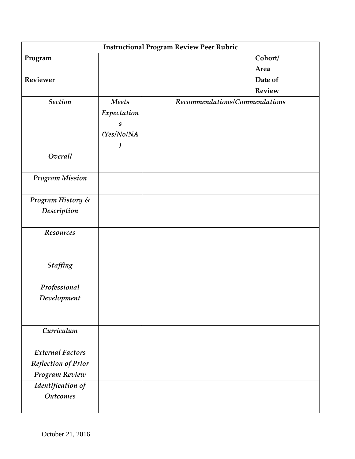| <b>Instructional Program Review Peer Rubric</b> |                    |  |  |  |                               |
|-------------------------------------------------|--------------------|--|--|--|-------------------------------|
| Program                                         |                    |  |  |  | Cohort/                       |
|                                                 |                    |  |  |  | Area                          |
| Reviewer                                        |                    |  |  |  | Date of                       |
|                                                 |                    |  |  |  | Review                        |
| <b>Section</b>                                  | <b>Meets</b>       |  |  |  | Recommendations/Commendations |
|                                                 | Expectation        |  |  |  |                               |
|                                                 | $\boldsymbol{S}$   |  |  |  |                               |
|                                                 | (Yes/No/NA         |  |  |  |                               |
|                                                 | $\bm{\mathcal{Y}}$ |  |  |  |                               |
| Overall                                         |                    |  |  |  |                               |
| <b>Program Mission</b>                          |                    |  |  |  |                               |
| Program History &                               |                    |  |  |  |                               |
| Description                                     |                    |  |  |  |                               |
|                                                 |                    |  |  |  |                               |
| Resources                                       |                    |  |  |  |                               |
| <b>Staffing</b>                                 |                    |  |  |  |                               |
| Professional                                    |                    |  |  |  |                               |
| Development                                     |                    |  |  |  |                               |
|                                                 |                    |  |  |  |                               |
|                                                 |                    |  |  |  |                               |
| Curriculum                                      |                    |  |  |  |                               |
| <b>External Factors</b>                         |                    |  |  |  |                               |
| <b>Reflection of Prior</b>                      |                    |  |  |  |                               |
| Program Review                                  |                    |  |  |  |                               |
| Identification of                               |                    |  |  |  |                               |
| <b>Outcomes</b>                                 |                    |  |  |  |                               |
|                                                 |                    |  |  |  |                               |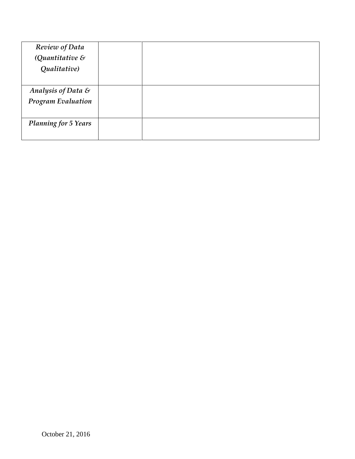| Review of Data              |  |
|-----------------------------|--|
| (Quantitative $\&$          |  |
| Qualitative)                |  |
|                             |  |
| Analysis of Data &          |  |
| <b>Program Evaluation</b>   |  |
|                             |  |
| <b>Planning for 5 Years</b> |  |
|                             |  |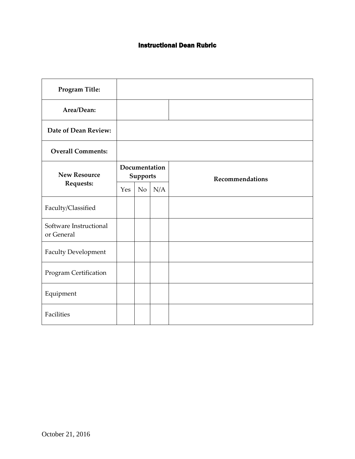### Instructional Dean Rubric

| Program Title:                       |                                  |    |     |                 |
|--------------------------------------|----------------------------------|----|-----|-----------------|
| Area/Dean:                           |                                  |    |     |                 |
| Date of Dean Review:                 |                                  |    |     |                 |
| <b>Overall Comments:</b>             |                                  |    |     |                 |
| <b>New Resource</b>                  | Documentation<br><b>Supports</b> |    |     | Recommendations |
| Requests:                            | Yes                              | No | N/A |                 |
| Faculty/Classified                   |                                  |    |     |                 |
| Software Instructional<br>or General |                                  |    |     |                 |
| <b>Faculty Development</b>           |                                  |    |     |                 |
| Program Certification                |                                  |    |     |                 |
| Equipment                            |                                  |    |     |                 |
| Facilities                           |                                  |    |     |                 |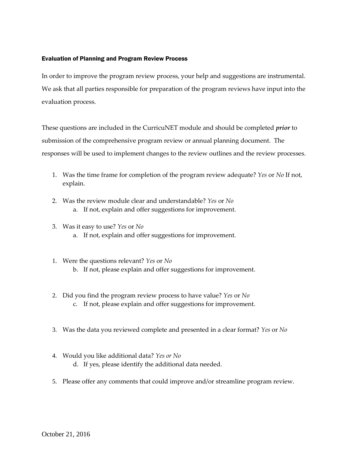#### <span id="page-17-0"></span>Evaluation of Planning and Program Review Process

In order to improve the program review process, your help and suggestions are instrumental. We ask that all parties responsible for preparation of the program reviews have input into the evaluation process.

These questions are included in the CurricuNET module and should be completed *prior* to submission of the comprehensive program review or annual planning document. The responses will be used to implement changes to the review outlines and the review processes.

- 1. Was the time frame for completion of the program review adequate? *Yes* or *No* If not, explain.
- 2. Was the review module clear and understandable? *Yes* or *No* a. If not, explain and offer suggestions for improvement.
- 3. Was it easy to use? *Yes* or *No* a. If not, explain and offer suggestions for improvement.
- 1. Were the questions relevant? *Yes* or *No* b. If not, please explain and offer suggestions for improvement.
- 2. Did you find the program review process to have value? *Yes* or *No* c. If not, please explain and offer suggestions for improvement.
- 3. Was the data you reviewed complete and presented in a clear format? *Yes* or *No*
- 4. Would you like additional data? *Yes or No* d. If yes, please identify the additional data needed.
- 5. Please offer any comments that could improve and/or streamline program review.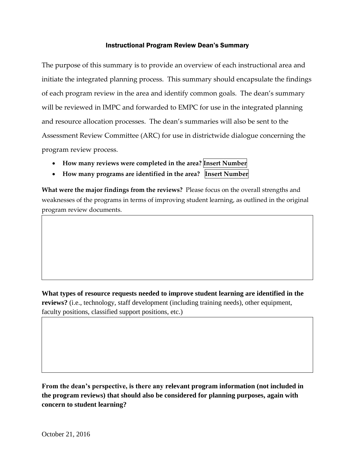#### Instructional Program Review Dean's Summary

The purpose of this summary is to provide an overview of each instructional area and initiate the integrated planning process. This summary should encapsulate the findings of each program review in the area and identify common goals. The dean's summary will be reviewed in IMPC and forwarded to EMPC for use in the integrated planning and resource allocation processes. The dean's summaries will also be sent to the Assessment Review Committee (ARC) for use in districtwide dialogue concerning the program review process.

- **How many reviews were completed in the area? Insert Number**
- **How many programs are identified in the area? Insert Number**

**What were the major findings from the reviews?** Please focus on the overall strengths and weaknesses of the programs in terms of improving student learning, as outlined in the original program review documents.

**What types of resource requests needed to improve student learning are identified in the reviews?** (i.e., technology, staff development (including training needs), other equipment, faculty positions, classified support positions, etc.)

**From the dean's perspective, is there any relevant program information (not included in the program reviews) that should also be considered for planning purposes, again with concern to student learning?**